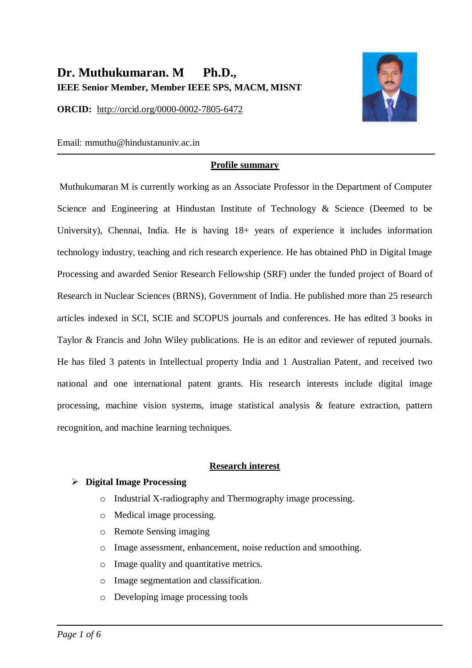# **Dr. Muthukumaran. M Ph.D., IEEE Senior Member, Member IEEE SPS, MACM, MISNT**

**ORCID:** [http://orcid.org/0000-0002-7805-6472](https://www.scopus.com/redirect.uri?url=http://www.orcid.org/0000-0002-7805-6472&authorId=57194420877&origin=AuthorProfile&orcId=0000-0002-7805-6472&category=orcidLink)



Email: mmuthu@hindustanuniv.ac.in

#### **Profile summary**

Muthukumaran M is currently working as an Associate Professor in the Department of Computer Science and Engineering at Hindustan Institute of Technology & Science (Deemed to be University), Chennai, India. He is having 18+ years of experience it includes information technology industry, teaching and rich research experience. He has obtained PhD in Digital Image Processing and awarded Senior Research Fellowship (SRF) under the funded project of Board of Research in Nuclear Sciences (BRNS), Government of India. He published more than 25 research articles indexed in SCI, SCIE and SCOPUS journals and conferences. He has edited 3 books in Taylor & Francis and John Wiley publications. He is an editor and reviewer of reputed journals. He has filed 3 patents in Intellectual property India and 1 Australian Patent, and received two national and one international patent grants. His research interests include digital image processing, machine vision systems, image statistical analysis & feature extraction, pattern recognition, and machine learning techniques.

#### **Research interest**

#### **Digital Image Processing**

- o Industrial X-radiography and Thermography image processing.
- o Medical image processing.
- o Remote Sensing imaging
- o Image assessment, enhancement, noise reduction and smoothing.
- o Image quality and quantitative metrics.
- o Image segmentation and classification.
- o Developing image processing tools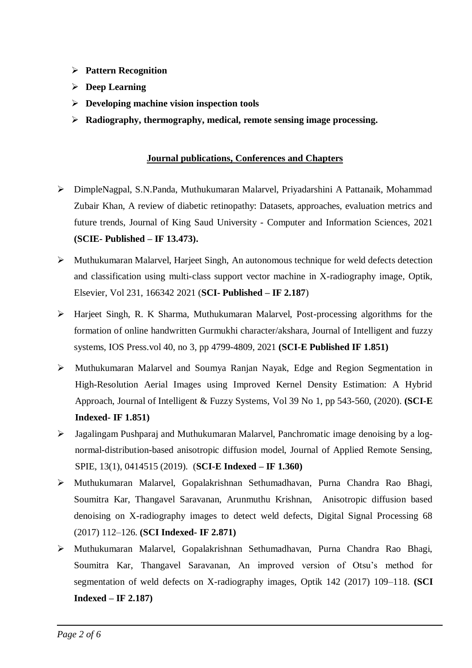- **Pattern Recognition**
- **Deep Learning**
- **Developing machine vision inspection tools**
- **Radiography, thermography, medical, remote sensing image processing.**

#### **Journal publications, Conferences and Chapters**

- DimpleNagpal, S.N.Panda, Muthukumaran Malarvel, Priyadarshini A Pattanaik, Mohammad Zubair Khan, A review of diabetic retinopathy: Datasets, approaches, evaluation metrics and future trends, Journal of King Saud University - Computer and Information Sciences, 2021 **(SCIE- Published – IF 13.473).**
- $\triangleright$  Muthukumaran Malarvel, Harjeet Singh, An autonomous technique for weld defects detection and classification using multi-class support vector machine in X-radiography image, Optik, Elsevier, Vol 231, 166342 2021 (**SCI- Published – IF 2.187**)
- Harjeet Singh, R. K Sharma, Muthukumaran Malarvel, Post-processing algorithms for the formation of online handwritten Gurmukhi character/akshara, Journal of Intelligent and fuzzy systems, IOS Press.vol 40, no 3, pp 4799-4809, 2021 **(SCI-E Published IF 1.851)**
- Muthukumaran Malarvel and Soumya Ranjan Nayak, Edge and Region Segmentation in High-Resolution Aerial Images using Improved Kernel Density Estimation: A Hybrid Approach, Journal of Intelligent & Fuzzy Systems, Vol 39 No 1, pp 543-560, (2020). **(SCI-E Indexed- IF 1.851)**
- $\triangleright$  Jagalingam Pushparaj and Muthukumaran Malarvel, Panchromatic image denoising by a lognormal-distribution-based anisotropic diffusion model, Journal of Applied Remote Sensing, SPIE, 13(1), 0414515 (2019). (**SCI-E Indexed – IF 1.360)**
- Muthukumaran Malarvel, Gopalakrishnan Sethumadhavan, Purna Chandra Rao Bhagi, Soumitra Kar, Thangavel Saravanan, Arunmuthu Krishnan, Anisotropic diffusion based denoising on X-radiography images to detect weld defects, Digital Signal Processing 68 (2017) 112–126. **(SCI Indexed- IF 2.871)**
- Muthukumaran Malarvel, Gopalakrishnan Sethumadhavan, Purna Chandra Rao Bhagi, Soumitra Kar, Thangavel Saravanan, An improved version of Otsu's method for segmentation of weld defects on X-radiography images, Optik 142 (2017) 109–118. **(SCI Indexed – IF 2.187)**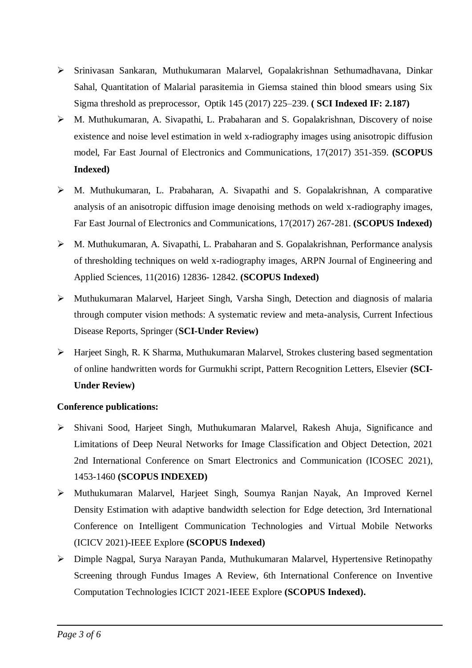- Srinivasan Sankaran, Muthukumaran Malarvel, Gopalakrishnan Sethumadhavana, Dinkar Sahal, Quantitation of Malarial parasitemia in Giemsa stained thin blood smears using Six Sigma threshold as preprocessor, Optik 145 (2017) 225–239. **( SCI Indexed IF: 2.187)**
- M. Muthukumaran, A. Sivapathi, L. Prabaharan and S. Gopalakrishnan, Discovery of noise existence and noise level estimation in weld x-radiography images using anisotropic diffusion model, Far East Journal of Electronics and Communications, 17(2017) 351-359. **(SCOPUS Indexed)**
- M. Muthukumaran, L. Prabaharan, A. Sivapathi and S. Gopalakrishnan, A comparative analysis of an anisotropic diffusion image denoising methods on weld x-radiography images, Far East Journal of Electronics and Communications, 17(2017) 267-281. **(SCOPUS Indexed)**
- M. Muthukumaran, A. Sivapathi, L. Prabaharan and S. Gopalakrishnan, Performance analysis of thresholding techniques on weld x-radiography images, ARPN Journal of Engineering and Applied Sciences, 11(2016) 12836- 12842. **(SCOPUS Indexed)**
- Muthukumaran Malarvel, Harjeet Singh, Varsha Singh, Detection and diagnosis of malaria through computer vision methods: A systematic review and meta-analysis, Current Infectious Disease Reports, Springer (**SCI-Under Review)**
- Harjeet Singh, R. K Sharma, Muthukumaran Malarvel, Strokes clustering based segmentation of online handwritten words for Gurmukhi script, Pattern Recognition Letters, Elsevier **(SCI-Under Review)**

## **Conference publications:**

- Shivani Sood, Harjeet Singh, Muthukumaran Malarvel, Rakesh Ahuja, Significance and Limitations of Deep Neural Networks for Image Classification and Object Detection, 2021 2nd International Conference on Smart Electronics and Communication (ICOSEC 2021), 1453-1460 **(SCOPUS INDEXED)**
- Muthukumaran Malarvel, Harjeet Singh, Soumya Ranjan Nayak, An Improved Kernel Density Estimation with adaptive bandwidth selection for Edge detection, 3rd International Conference on Intelligent Communication Technologies and Virtual Mobile Networks (ICICV 2021)-IEEE Explore **(SCOPUS Indexed)**
- Dimple Nagpal, Surya Narayan Panda, Muthukumaran Malarvel, Hypertensive Retinopathy Screening through Fundus Images A Review, 6th International Conference on Inventive Computation Technologies ICICT 2021-IEEE Explore **(SCOPUS Indexed).**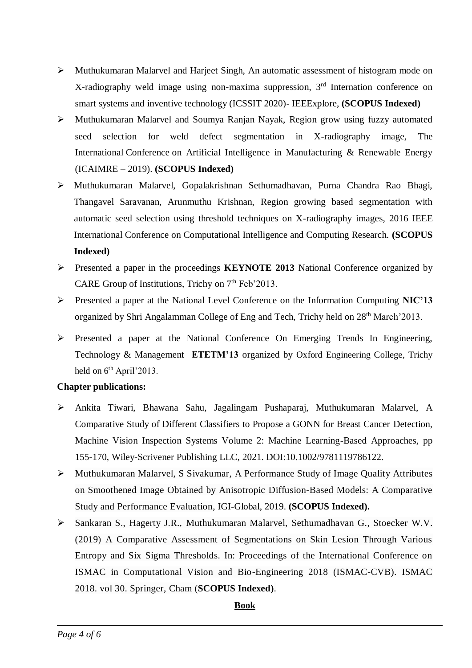- Muthukumaran Malarvel and Harjeet Singh, An automatic assessment of histogram mode on X-radiography weld image using non-maxima suppression, 3rd Internation conference on smart systems and inventive technology (ICSSIT 2020)- IEEExplore, **(SCOPUS Indexed)**
- Muthukumaran Malarvel and Soumya Ranjan Nayak, Region grow using fuzzy automated seed selection for weld defect segmentation in X-radiography image, The International Conference on Artificial Intelligence in Manufacturing & Renewable Energy (ICAIMRE – 2019). **(SCOPUS Indexed)**
- Muthukumaran Malarvel, Gopalakrishnan Sethumadhavan, Purna Chandra Rao Bhagi, Thangavel Saravanan, Arunmuthu Krishnan, Region growing based segmentation with automatic seed selection using threshold techniques on X-radiography images, 2016 IEEE International Conference on Computational Intelligence and Computing Research. **(SCOPUS Indexed)**
- Presented a paper in the proceedings **KEYNOTE 2013** National Conference organized by CARE Group of Institutions, Trichy on  $7<sup>th</sup>$  Feb'2013.
- Presented a paper at the National Level Conference on the Information Computing **NIC'13** organized by Shri Angalamman College of Eng and Tech, Trichy held on 28<sup>th</sup> March'2013.
- Presented a paper at the National Conference On Emerging Trends In Engineering, Technology & Management **ETETM'13** organized by Oxford Engineering College, Trichy held on  $6<sup>th</sup>$  April'2013.

# **Chapter publications:**

- Ankita Tiwari, Bhawana Sahu, Jagalingam Pushaparaj, Muthukumaran Malarvel, A Comparative Study of Different Classifiers to Propose a GONN for Breast Cancer Detection, Machine Vision Inspection Systems Volume 2: Machine Learning-Based Approaches, pp 155-170, Wiley-Scrivener Publishing LLC, 2021. DOI:10.1002/9781119786122.
- Muthukumaran Malarvel, S Sivakumar, A Performance Study of Image Quality Attributes on Smoothened Image Obtained by Anisotropic Diffusion-Based Models: A Comparative Study and Performance Evaluation, IGI-Global, 2019. **(SCOPUS Indexed).**
- Sankaran S., Hagerty J.R., Muthukumaran Malarvel, Sethumadhavan G., Stoecker W.V. (2019) A Comparative Assessment of Segmentations on Skin Lesion Through Various Entropy and Six Sigma Thresholds. In: Proceedings of the International Conference on ISMAC in Computational Vision and Bio-Engineering 2018 (ISMAC-CVB). ISMAC 2018. vol 30. Springer, Cham (**SCOPUS Indexed)**.

# **Book**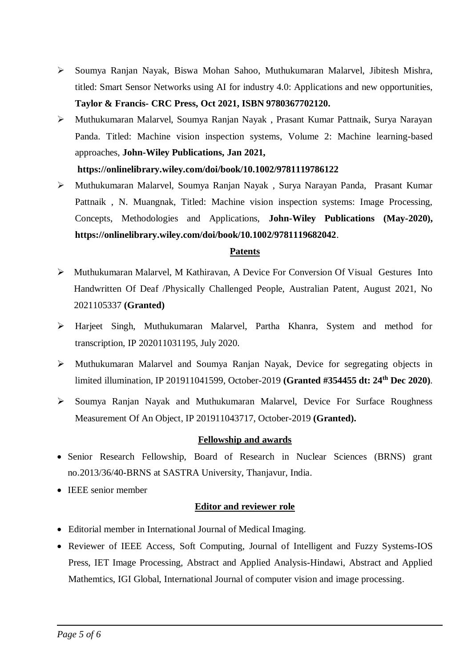- Soumya Ranjan Nayak, Biswa Mohan Sahoo, Muthukumaran Malarvel, Jibitesh Mishra, titled: Smart Sensor Networks using AI for industry 4.0: Applications and new opportunities, **Taylor & Francis- CRC Press, Oct 2021, ISBN 9780367702120.**
- Muthukumaran Malarvel, Soumya Ranjan Nayak , Prasant Kumar Pattnaik, Surya Narayan Panda. Titled: Machine vision inspection systems, Volume 2: Machine learning-based approaches, **John-Wiley Publications, Jan 2021,**

## **https://onlinelibrary.wiley.com/doi/book/10.1002/9781119786122**

 Muthukumaran Malarvel, Soumya Ranjan Nayak , Surya Narayan Panda, Prasant Kumar Pattnaik , N. Muangnak, Titled: Machine vision inspection systems: Image Processing, Concepts, Methodologies and Applications, **John-Wiley Publications (May-2020), https://onlinelibrary.wiley.com/doi/book/10.1002/9781119682042**.

## **Patents**

- Muthukumaran Malarvel, M Kathiravan, A Device For Conversion Of Visual Gestures Into Handwritten Of Deaf /Physically Challenged People, Australian Patent, August 2021, No 2021105337 **(Granted)**
- Harjeet Singh, Muthukumaran Malarvel, Partha Khanra, System and method for transcription, IP 202011031195, July 2020.
- Muthukumaran Malarvel and Soumya Ranjan Nayak, Device for segregating objects in limited illumination, IP 201911041599, October-2019 **(Granted #354455 dt: 24th Dec 2020)**.
- Soumya Ranjan Nayak and Muthukumaran Malarvel, Device For Surface Roughness Measurement Of An Object, IP 201911043717, October-2019 **(Granted).**

## **Fellowship and awards**

- Senior Research Fellowship, Board of Research in Nuclear Sciences (BRNS) grant no.2013/36/40-BRNS at SASTRA University, Thanjavur, India.
- IEEE senior member

# **Editor and reviewer role**

- Editorial member in International Journal of Medical Imaging.
- Reviewer of IEEE Access, Soft Computing, Journal of Intelligent and Fuzzy Systems-IOS Press, IET Image Processing, Abstract and Applied Analysis-Hindawi, Abstract and Applied Mathemtics, IGI Global, International Journal of computer vision and image processing.